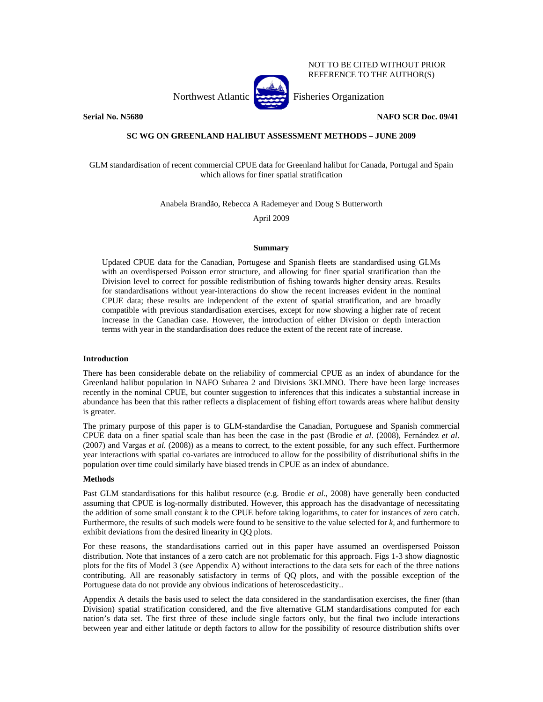NOT TO BE CITED WITHOUT PRIOR REFERENCE TO THE AUTHOR(S)

Northwest Atlantic Fisheries Organization



**Serial No. N5680 NAFO SCR Doc. 09/41** 

# **SC WG ON GREENLAND HALIBUT ASSESSMENT METHODS – JUNE 2009**

GLM standardisation of recent commercial CPUE data for Greenland halibut for Canada, Portugal and Spain which allows for finer spatial stratification

Anabela Brandão, Rebecca A Rademeyer and Doug S Butterworth

April 2009

## **Summary**

Updated CPUE data for the Canadian, Portugese and Spanish fleets are standardised using GLMs with an overdispersed Poisson error structure, and allowing for finer spatial stratification than the Division level to correct for possible redistribution of fishing towards higher density areas. Results for standardisations without year-interactions do show the recent increases evident in the nominal CPUE data; these results are independent of the extent of spatial stratification, and are broadly compatible with previous standardisation exercises, except for now showing a higher rate of recent increase in the Canadian case. However, the introduction of either Division or depth interaction terms with year in the standardisation does reduce the extent of the recent rate of increase.

## **Introduction**

There has been considerable debate on the reliability of commercial CPUE as an index of abundance for the Greenland halibut population in NAFO Subarea 2 and Divisions 3KLMNO. There have been large increases recently in the nominal CPUE, but counter suggestion to inferences that this indicates a substantial increase in abundance has been that this rather reflects a displacement of fishing effort towards areas where halibut density is greater.

The primary purpose of this paper is to GLM-standardise the Canadian, Portuguese and Spanish commercial CPUE data on a finer spatial scale than has been the case in the past (Brodie *et al*. (2008), Fernández *et al*. (2007) and Vargas *et al.* (2008)) as a means to correct, to the extent possible, for any such effect. Furthermore year interactions with spatial co-variates are introduced to allow for the possibility of distributional shifts in the population over time could similarly have biased trends in CPUE as an index of abundance.

#### **Methods**

Past GLM standardisations for this halibut resource (e.g. Brodie *et al*., 2008) have generally been conducted assuming that CPUE is log-normally distributed. However, this approach has the disadvantage of necessitating the addition of some small constant *k* to the CPUE before taking logarithms, to cater for instances of zero catch. Furthermore, the results of such models were found to be sensitive to the value selected for *k,* and furthermore to exhibit deviations from the desired linearity in QQ plots.

For these reasons, the standardisations carried out in this paper have assumed an overdispersed Poisson distribution. Note that instances of a zero catch are not problematic for this approach. Figs 1-3 show diagnostic plots for the fits of Model 3 (see Appendix A) without interactions to the data sets for each of the three nations contributing. All are reasonably satisfactory in terms of QQ plots, and with the possible exception of the Portuguese data do not provide any obvious indications of heteroscedasticity..

Appendix A details the basis used to select the data considered in the standardisation exercises, the finer (than Division) spatial stratification considered, and the five alternative GLM standardisations computed for each nation's data set. The first three of these include single factors only, but the final two include interactions between year and either latitude or depth factors to allow for the possibility of resource distribution shifts over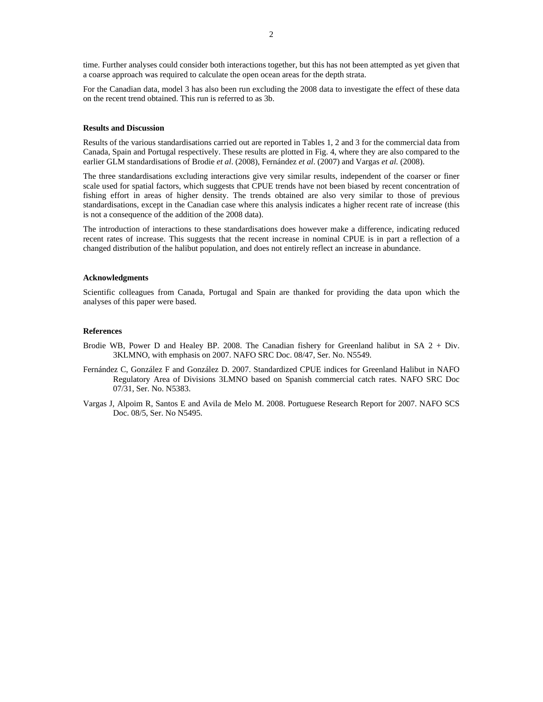time. Further analyses could consider both interactions together, but this has not been attempted as yet given that a coarse approach was required to calculate the open ocean areas for the depth strata.

For the Canadian data, model 3 has also been run excluding the 2008 data to investigate the effect of these data on the recent trend obtained. This run is referred to as 3b.

#### **Results and Discussion**

Results of the various standardisations carried out are reported in Tables 1, 2 and 3 for the commercial data from Canada, Spain and Portugal respectively. These results are plotted in Fig. 4, where they are also compared to the earlier GLM standardisations of Brodie *et al*. (2008), Fernández *et al*. (2007) and Vargas *et al.* (2008).

The three standardisations excluding interactions give very similar results, independent of the coarser or finer scale used for spatial factors, which suggests that CPUE trends have not been biased by recent concentration of fishing effort in areas of higher density. The trends obtained are also very similar to those of previous standardisations, except in the Canadian case where this analysis indicates a higher recent rate of increase (this is not a consequence of the addition of the 2008 data).

The introduction of interactions to these standardisations does however make a difference, indicating reduced recent rates of increase. This suggests that the recent increase in nominal CPUE is in part a reflection of a changed distribution of the halibut population, and does not entirely reflect an increase in abundance.

## **Acknowledgments**

Scientific colleagues from Canada, Portugal and Spain are thanked for providing the data upon which the analyses of this paper were based.

## **References**

- Brodie WB, Power D and Healey BP. 2008. The Canadian fishery for Greenland halibut in SA 2 + Div. 3KLMNO, with emphasis on 2007. NAFO SRC Doc. 08/47, Ser. No. N5549.
- Fernández C, González F and González D. 2007. Standardized CPUE indices for Greenland Halibut in NAFO Regulatory Area of Divisions 3LMNO based on Spanish commercial catch rates. NAFO SRC Doc 07/31, Ser. No. N5383.
- Vargas J, Alpoim R, Santos E and Avila de Melo M. 2008. Portuguese Research Report for 2007. NAFO SCS Doc. 08/5, Ser. No N5495.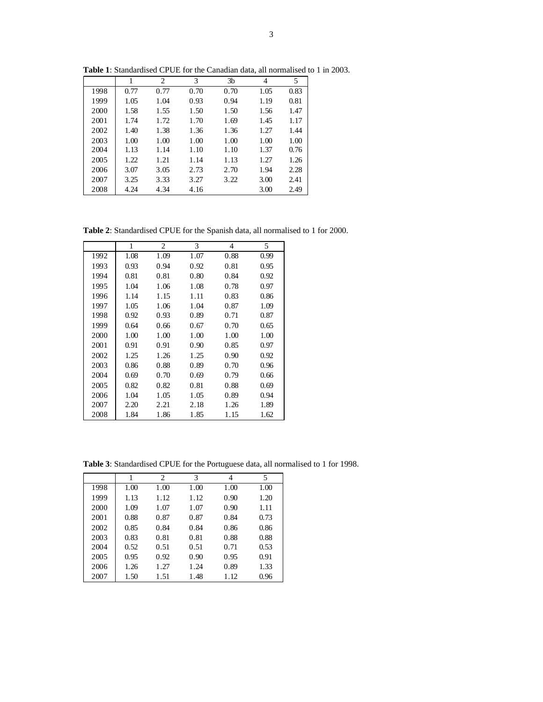|      |      | $\overline{c}$ | 3    | 3b   | 4    | 5    |
|------|------|----------------|------|------|------|------|
| 1998 | 0.77 | 0.77           | 0.70 | 0.70 | 1.05 | 0.83 |
| 1999 | 1.05 | 1.04           | 0.93 | 0.94 | 1.19 | 0.81 |
| 2000 | 1.58 | 1.55           | 1.50 | 1.50 | 1.56 | 1.47 |
| 2001 | 1.74 | 1.72           | 1.70 | 1.69 | 1.45 | 1.17 |
| 2002 | 1.40 | 1.38           | 1.36 | 1.36 | 1.27 | 1.44 |
| 2003 | 1.00 | 1.00           | 1.00 | 1.00 | 1.00 | 1.00 |
| 2004 | 1.13 | 1.14           | 1.10 | 1.10 | 1.37 | 0.76 |
| 2005 | 1.22 | 1.21           | 1.14 | 1.13 | 1.27 | 1.26 |
| 2006 | 3.07 | 3.05           | 2.73 | 2.70 | 1.94 | 2.28 |
| 2007 | 3.25 | 3.33           | 3.27 | 3.22 | 3.00 | 2.41 |
| 2008 | 4.24 | 4.34           | 4.16 |      | 3.00 | 2.49 |

**Table 1**: Standardised CPUE for the Canadian data, all normalised to 1 in 2003.

**Table 2**: Standardised CPUE for the Spanish data, all normalised to 1 for 2000.

|      | 1    | 2    | 3    | 4    | 5    |
|------|------|------|------|------|------|
| 1992 | 1.08 | 1.09 | 1.07 | 0.88 | 0.99 |
| 1993 | 0.93 | 0.94 | 0.92 | 0.81 | 0.95 |
| 1994 | 0.81 | 0.81 | 0.80 | 0.84 | 0.92 |
| 1995 | 1.04 | 1.06 | 1.08 | 0.78 | 0.97 |
| 1996 | 1.14 | 1.15 | 1.11 | 0.83 | 0.86 |
| 1997 | 1.05 | 1.06 | 1.04 | 0.87 | 1.09 |
| 1998 | 0.92 | 0.93 | 0.89 | 0.71 | 0.87 |
| 1999 | 0.64 | 0.66 | 0.67 | 0.70 | 0.65 |
| 2000 | 1.00 | 1.00 | 1.00 | 1.00 | 1.00 |
| 2001 | 0.91 | 0.91 | 0.90 | 0.85 | 0.97 |
| 2002 | 1.25 | 1.26 | 1.25 | 0.90 | 0.92 |
| 2003 | 0.86 | 0.88 | 0.89 | 0.70 | 0.96 |
| 2004 | 0.69 | 0.70 | 0.69 | 0.79 | 0.66 |
| 2005 | 0.82 | 0.82 | 0.81 | 0.88 | 0.69 |
| 2006 | 1.04 | 1.05 | 1.05 | 0.89 | 0.94 |
| 2007 | 2.20 | 2.21 | 2.18 | 1.26 | 1.89 |
| 2008 | 1.84 | 1.86 | 1.85 | 1.15 | 1.62 |

**Table 3**: Standardised CPUE for the Portuguese data, all normalised to 1 for 1998.

|      |      | 2    | 3    | 4    | 5    |
|------|------|------|------|------|------|
| 1998 | 1.00 | 1.00 | 1.00 | 1.00 | 1.00 |
| 1999 | 1.13 | 1.12 | 1.12 | 0.90 | 1.20 |
| 2000 | 1.09 | 1.07 | 1.07 | 0.90 | 1.11 |
| 2001 | 0.88 | 0.87 | 0.87 | 0.84 | 0.73 |
| 2002 | 0.85 | 0.84 | 0.84 | 0.86 | 0.86 |
| 2003 | 0.83 | 0.81 | 0.81 | 0.88 | 0.88 |
| 2004 | 0.52 | 0.51 | 0.51 | 0.71 | 0.53 |
| 2005 | 0.95 | 0.92 | 0.90 | 0.95 | 0.91 |
| 2006 | 1.26 | 1.27 | 1.24 | 0.89 | 1.33 |
| 2007 | 1.50 | 1.51 | 1.48 | 1.12 | 0.96 |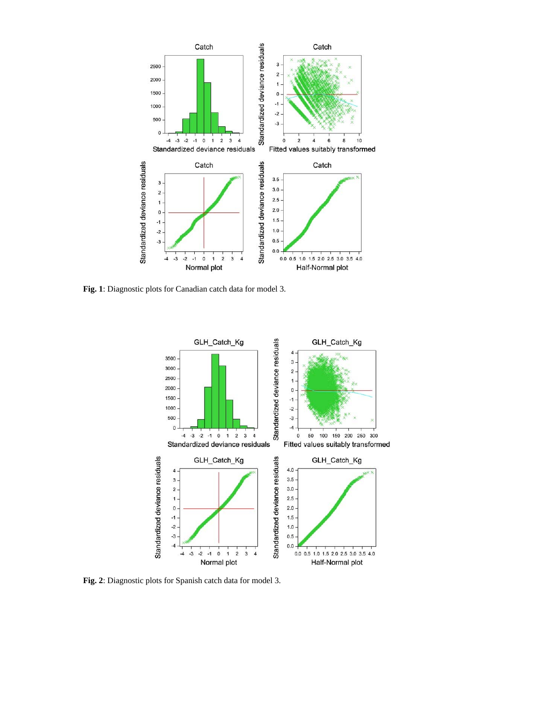

**Fig. 1**: Diagnostic plots for Canadian catch data for model 3.



**Fig. 2**: Diagnostic plots for Spanish catch data for model 3.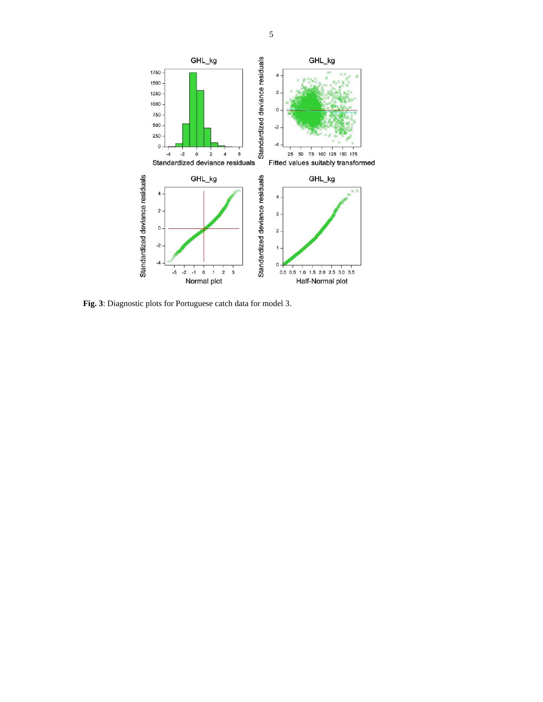

**Fig. 3**: Diagnostic plots for Portuguese catch data for model 3.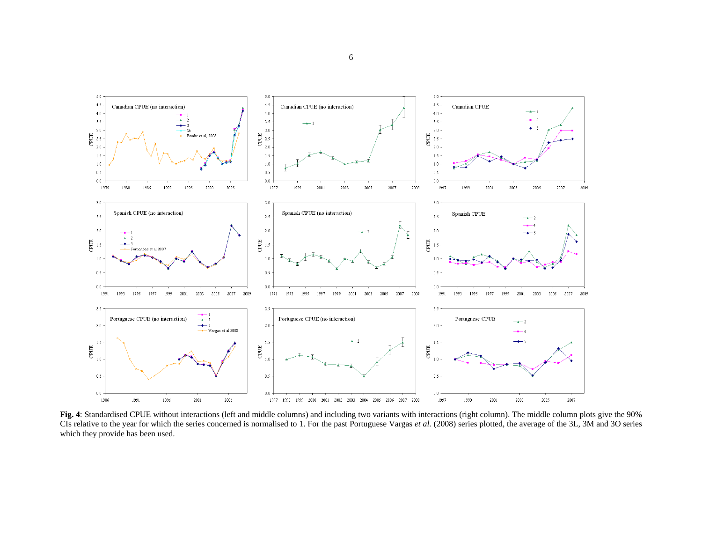

**Fig. 4**: Standardised CPUE without interactions (left and middle columns) and including two variants with interactions (right column). The middle column plots give the 90% CIs relative to the year for which the series concerned is normalised to 1. For the past Portuguese Vargas *et al.* (2008) series plotted, the average of the 3L, 3M and 3O series which they provide has been used.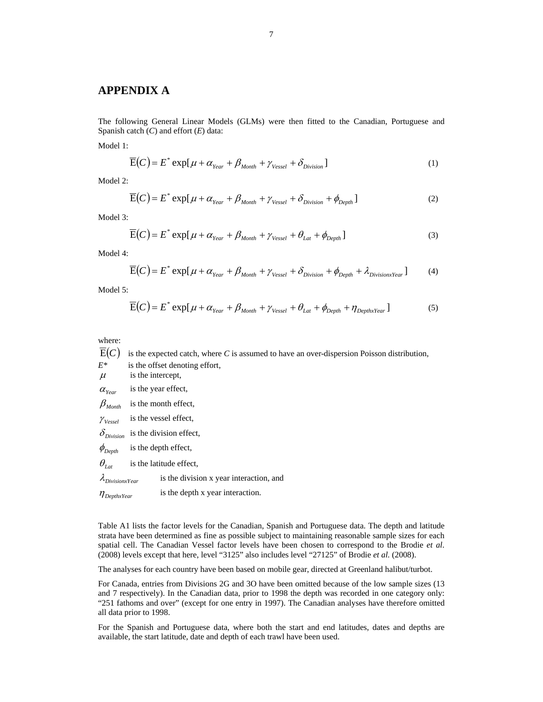# **APPENDIX A**

The following General Linear Models (GLMs) were then fitted to the Canadian, Portuguese and Spanish catch (*C*) and effort (*E*) data:

Model 1:

$$
\overline{E}(C) = E^* \exp[\mu + \alpha_{Year} + \beta_{Month} + \gamma_{Vessel} + \delta_{Division}] \tag{1}
$$

Model 2:

$$
\overline{E}(C) = E^* \exp[\mu + \alpha_{\text{Year}} + \beta_{\text{Month}} + \gamma_{\text{Vessel}} + \delta_{\text{Division}} + \phi_{\text{Depth}}]
$$
(2)

Model 3:

$$
\overline{E}(C) = E^* \exp[\mu + \alpha_{Year} + \beta_{Month} + \gamma_{Vessel} + \theta_{Lat} + \phi_{Depth}] \tag{3}
$$

Model 4:

$$
\overline{E}(C) = E^* \exp[\mu + \alpha_{Year} + \beta_{Month} + \gamma_{Vessel} + \delta_{Division} + \phi_{Depth} + \lambda_{DivisionX(2)}
$$
(4)

Model 5:

$$
\overline{E}(C) = E^* \exp[\mu + \alpha_{Year} + \beta_{Month} + \gamma_{Vessel} + \theta_{Lat} + \phi_{Depth} + \eta_{DepthxYear}] \tag{5}
$$

where:

- $\overline{E}(C)$  is the expected catch, where *C* is assumed to have an over-dispersion Poisson distribution,
- *E\** is the offset denoting effort,

 $\mu$  is the intercept,  $\alpha_{Year}$  is the year effect,

- $\beta_{Month}$  is the month effect,
- $\gamma_{Vessel}$  is the vessel effect,
- $\delta_{Division}$  is the division effect,
- $\phi_{Depth}$  is the depth effect,
- $\theta_{\text{Lat}}$  is the latitude effect,
- $\lambda_{DivisionYear}$  is the division x year interaction, and
- $\eta_{\text{DephxYear}}$  is the depth x year interaction.

Table A1 lists the factor levels for the Canadian, Spanish and Portuguese data. The depth and latitude strata have been determined as fine as possible subject to maintaining reasonable sample sizes for each spatial cell. The Canadian Vessel factor levels have been chosen to correspond to the Brodie *et al*. (2008) levels except that here, level "3125" also includes level "27125" of Brodie *et al.* (2008).

The analyses for each country have been based on mobile gear, directed at Greenland halibut/turbot.

For Canada, entries from Divisions 2G and 3O have been omitted because of the low sample sizes (13 and 7 respectively). In the Canadian data, prior to 1998 the depth was recorded in one category only: "251 fathoms and over" (except for one entry in 1997). The Canadian analyses have therefore omitted all data prior to 1998.

For the Spanish and Portuguese data, where both the start and end latitudes, dates and depths are available, the start latitude, date and depth of each trawl have been used.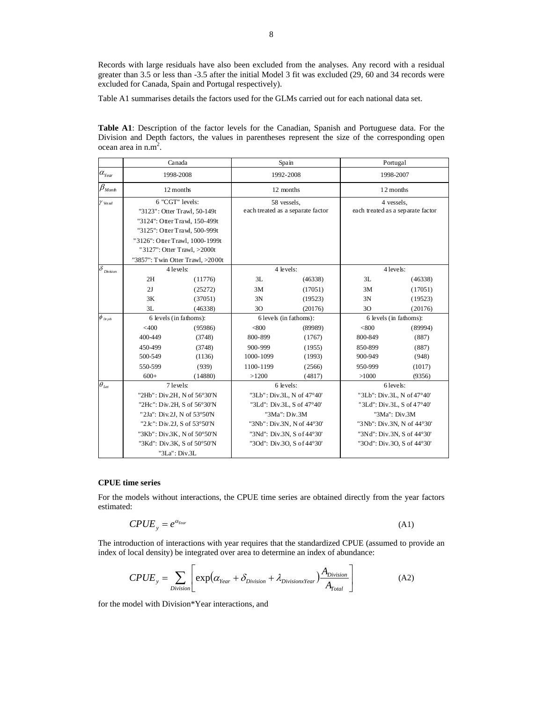Records with large residuals have also been excluded from the analyses. Any record with a residual greater than 3.5 or less than -3.5 after the initial Model 3 fit was excluded (29, 60 and 34 records were excluded for Canada, Spain and Portugal respectively).

Table A1 summarises details the factors used for the GLMs carried out for each national data set.

**Table A1**: Description of the factor levels for the Canadian, Spanish and Portuguese data. For the Division and Depth factors, the values in parentheses represent the size of the corresponding open ocean area in  $n.m<sup>2</sup>$ .

|                                                  |                                                 | Canada  |                                                  | Spain   |                                                 | Portugal |
|--------------------------------------------------|-------------------------------------------------|---------|--------------------------------------------------|---------|-------------------------------------------------|----------|
| $\alpha_{\scriptscriptstyle Y\!e\:\!\!a\:\!\!r}$ | 1998-2008                                       |         | 1992-2008                                        |         | 1998-2007                                       |          |
| $\beta_{\text{Month}}$                           | 12 months                                       |         | 12 months                                        |         | 12 months                                       |          |
| $\gamma$ Vessel                                  | 6 "CGT" levels:<br>"3123": Otter Trawl, 50-149t |         | 58 vessels,<br>each treated as a separate factor |         | 4 vessels.<br>each treated as a separate factor |          |
|                                                  |                                                 |         |                                                  |         |                                                 |          |
|                                                  | "3124": Otter Trawl, 150-499t                   |         |                                                  |         |                                                 |          |
|                                                  | "3125": Otter Trawl, 500-999t                   |         |                                                  |         |                                                 |          |
|                                                  | "3126": Otter Trawl, 1000-1999t                 |         |                                                  |         |                                                 |          |
|                                                  | "3127": Otter Trawl, >2000t                     |         |                                                  |         |                                                 |          |
|                                                  | "3857": Twin Otter Trawl, >2000t                |         |                                                  |         |                                                 |          |
| $\overline{\delta}_{\mathit{Division}}$          | 4 levels:                                       |         | 4 levels:                                        |         | 4 levels:                                       |          |
|                                                  | 2H                                              | (11776) | 3L                                               | (46338) | 3L                                              | (46338)  |
|                                                  | 2J                                              | (25272) | 3M                                               | (17051) | 3M                                              | (17051)  |
|                                                  | 3K                                              | (37051) | 3N                                               | (19523) | 3N                                              | (19523)  |
|                                                  | 3L                                              | (46338) | 3O                                               | (20176) | 30                                              | (20176)  |
| $\phi$ $_{\scriptscriptstyle{Depth}}$            | 6 levels (in fathoms):                          |         | 6 levels (in fathoms):                           |         | 6 levels (in fathoms):                          |          |
|                                                  | $<$ 400                                         | (95986) | < 800                                            | (89989) | < 800                                           | (89994)  |
|                                                  | 400-449                                         | (3748)  | 800-899                                          | (1767)  | 800-849                                         | (887)    |
|                                                  | 450-499                                         | (3748)  | 900-999                                          | (1955)  | 850-899                                         | (887)    |
|                                                  | 500-549                                         | (1136)  | 1000-1099                                        | (1993)  | 900-949                                         | (948)    |
|                                                  | 550-599                                         | (939)   | 1100-1199                                        | (2566)  | 950-999                                         | (1017)   |
|                                                  | $600+$                                          | (14880) | >1200                                            | (4817)  | >1000                                           | (9356)   |
| $\theta_{\rm Lat}$                               | $7$ levels:                                     |         | 6 levels:                                        |         | 6 levels:                                       |          |
|                                                  | "2Hb": Div.2H, N of 56°30'N                     |         | "3Lb": Div.3L, N of 47°40'                       |         | "3Lb": Div.3L, N of 47°40'                      |          |
|                                                  | "2Hc": Div.2H, S of 56°30'N                     |         | "3Ld": Div.3L, S of 47°40'                       |         | "3Ld": Div.3L, S of 47°40'                      |          |
|                                                  | "2Ja": Div.2J, N of 53°50'N                     |         | "3Ma": Div.3M                                    |         | "3Ma": Div.3M                                   |          |
|                                                  | "2Jc": Div.2J, S of 53°50'N                     |         | "3Nb": Div.3N, N of 44°30'                       |         | "3Nb": Div.3N, N of 44°30'                      |          |
|                                                  | "3Kb": Div.3K, N of 50°50'N                     |         | "3Nd": Div.3N, S of 44°30'                       |         | "3Nd": Div.3N, S of 44°30'                      |          |
|                                                  | "3Kd": Div.3K, S of 50°50'N                     |         | "3Od": Div.3O, S of 44°30'                       |         | "3Od": Div.3O, S of 44°30'                      |          |
|                                                  | "3La": Div.3L                                   |         |                                                  |         |                                                 |          |

# **CPUE time series**

For the models without interactions, the CPUE time series are obtained directly from the year factors estimated:

$$
CPUE_y = e^{\alpha_{Year}} \tag{A1}
$$

The introduction of interactions with year requires that the standardized CPUE (assumed to provide an index of local density) be integrated over area to determine an index of abundance:

$$
CPUE_y = \sum_{Division} \left[ exp(\alpha_{Year} + \delta_{Division} + \lambda_{DivisionxYear}) \frac{A_{Division}}{A_{Total}} \right]
$$
(A2)

for the model with Division\*Year interactions, and